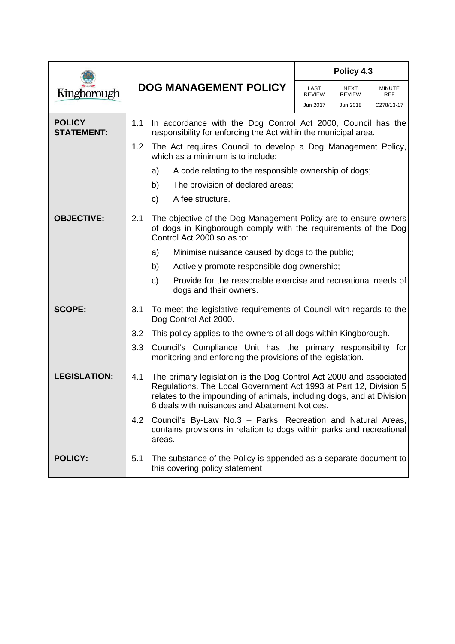|                                    |                                                                                                     |                                                                                                                                                                                                                                                                   | Policy 4.3 |                       |                      |  |
|------------------------------------|-----------------------------------------------------------------------------------------------------|-------------------------------------------------------------------------------------------------------------------------------------------------------------------------------------------------------------------------------------------------------------------|------------|-----------------------|----------------------|--|
| Kingborough                        |                                                                                                     | <b>DOG MANAGEMENT POLICY</b>                                                                                                                                                                                                                                      |            | NEXT<br><b>REVIEW</b> | <b>MINUTE</b><br>REF |  |
|                                    |                                                                                                     |                                                                                                                                                                                                                                                                   | Jun 2017   | Jun 2018              | C278/13-17           |  |
| <b>POLICY</b><br><b>STATEMENT:</b> | 1.1                                                                                                 | In accordance with the Dog Control Act 2000, Council has the<br>responsibility for enforcing the Act within the municipal area.                                                                                                                                   |            |                       |                      |  |
|                                    | 1.2                                                                                                 | The Act requires Council to develop a Dog Management Policy,<br>which as a minimum is to include:                                                                                                                                                                 |            |                       |                      |  |
|                                    |                                                                                                     | A code relating to the responsible ownership of dogs;<br>a)                                                                                                                                                                                                       |            |                       |                      |  |
|                                    |                                                                                                     | b)<br>The provision of declared areas;                                                                                                                                                                                                                            |            |                       |                      |  |
|                                    |                                                                                                     | A fee structure.<br>C)                                                                                                                                                                                                                                            |            |                       |                      |  |
| <b>OBJECTIVE:</b>                  | 2.1                                                                                                 | The objective of the Dog Management Policy are to ensure owners<br>of dogs in Kingborough comply with the requirements of the Dog<br>Control Act 2000 so as to:                                                                                                   |            |                       |                      |  |
|                                    |                                                                                                     | Minimise nuisance caused by dogs to the public;<br>a)                                                                                                                                                                                                             |            |                       |                      |  |
|                                    |                                                                                                     | b)<br>Actively promote responsible dog ownership;                                                                                                                                                                                                                 |            |                       |                      |  |
|                                    |                                                                                                     | Provide for the reasonable exercise and recreational needs of<br>c)<br>dogs and their owners.                                                                                                                                                                     |            |                       |                      |  |
| <b>SCOPE:</b>                      | To meet the legislative requirements of Council with regards to the<br>3.1<br>Dog Control Act 2000. |                                                                                                                                                                                                                                                                   |            |                       |                      |  |
|                                    | 3.2                                                                                                 | This policy applies to the owners of all dogs within Kingborough.                                                                                                                                                                                                 |            |                       |                      |  |
|                                    | 3.3                                                                                                 | Council's Compliance Unit has the primary responsibility for<br>monitoring and enforcing the provisions of the legislation.                                                                                                                                       |            |                       |                      |  |
| <b>LEGISLATION:</b>                | 4.1                                                                                                 | The primary legislation is the Dog Control Act 2000 and associated<br>Regulations. The Local Government Act 1993 at Part 12, Division 5<br>relates to the impounding of animals, including dogs, and at Division<br>6 deals with nuisances and Abatement Notices. |            |                       |                      |  |
|                                    | 4.2                                                                                                 | Council's By-Law No.3 - Parks, Recreation and Natural Areas,<br>contains provisions in relation to dogs within parks and recreational<br>areas.                                                                                                                   |            |                       |                      |  |
| <b>POLICY:</b>                     | 5.1                                                                                                 | The substance of the Policy is appended as a separate document to<br>this covering policy statement                                                                                                                                                               |            |                       |                      |  |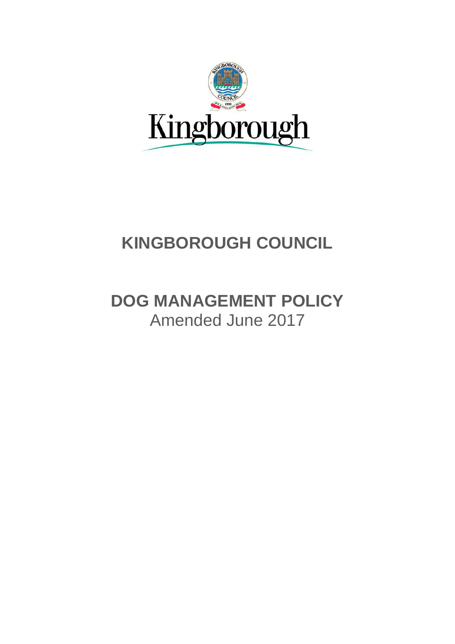

# **KINGBOROUGH COUNCIL**

# **DOG MANAGEMENT POLICY** Amended June 2017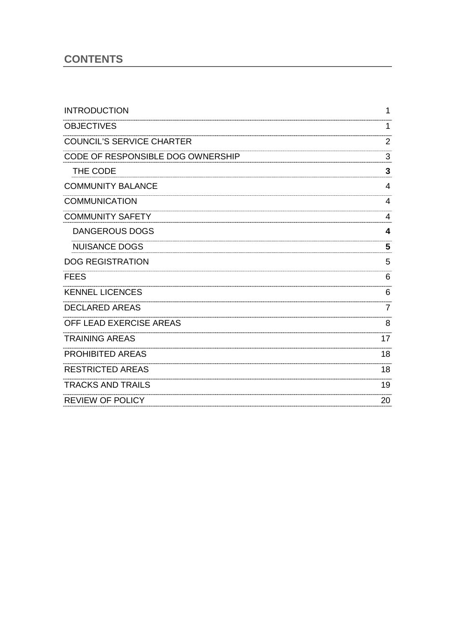# **CONTENTS**

| <b>INTRODUCTION</b>               | 1  |
|-----------------------------------|----|
| <b>OBJECTIVES</b>                 | 1  |
| <b>COUNCIL'S SERVICE CHARTER</b>  | 2  |
| CODE OF RESPONSIBLE DOG OWNERSHIP | 3  |
| THE CODE                          | 3  |
| <b>COMMUNITY BALANCE</b>          | 4  |
| <b>COMMUNICATION</b>              | 4  |
| <b>COMMUNITY SAFETY</b>           | 4  |
| <b>DANGEROUS DOGS</b>             | 4  |
| <b>NUISANCE DOGS</b>              | 5  |
| <b>DOG REGISTRATION</b>           | 5  |
| <b>FEES</b>                       | 6  |
| <b>KENNEL LICENCES</b>            | 6  |
| <b>DECLARED AREAS</b>             | 7  |
| OFF LEAD EXERCISE AREAS           | 8  |
| <b>TRAINING AREAS</b>             | 17 |
| <b>PROHIBITED AREAS</b>           | 18 |
| <b>RESTRICTED AREAS</b>           | 18 |
| <b>TRACKS AND TRAILS</b>          | 19 |
| <b>REVIEW OF POLICY</b>           | 20 |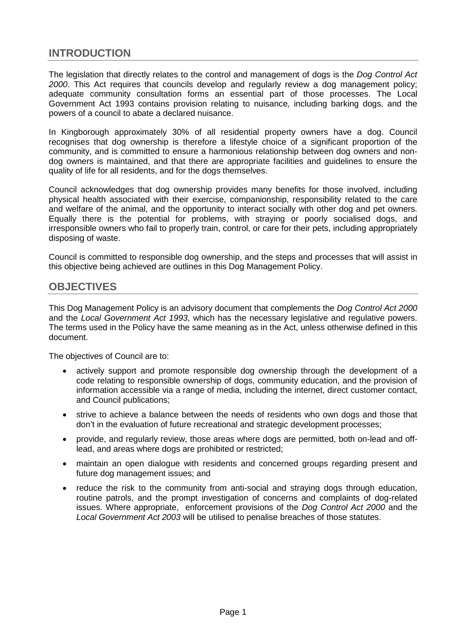# <span id="page-3-0"></span>**INTRODUCTION**

The legislation that directly relates to the control and management of dogs is the *Dog Control Act 2000*. This Act requires that councils develop and regularly review a dog management policy; adequate community consultation forms an essential part of those processes. The Local Government Act 1993 contains provision relating to nuisance, including barking dogs, and the powers of a council to abate a declared nuisance.

In Kingborough approximately 30% of all residential property owners have a dog. Council recognises that dog ownership is therefore a lifestyle choice of a significant proportion of the community, and is committed to ensure a harmonious relationship between dog owners and nondog owners is maintained, and that there are appropriate facilities and guidelines to ensure the quality of life for all residents, and for the dogs themselves.

Council acknowledges that dog ownership provides many benefits for those involved, including physical health associated with their exercise, companionship, responsibility related to the care and welfare of the animal, and the opportunity to interact socially with other dog and pet owners. Equally there is the potential for problems, with straying or poorly socialised dogs, and irresponsible owners who fail to properly train, control, or care for their pets, including appropriately disposing of waste.

Council is committed to responsible dog ownership, and the steps and processes that will assist in this objective being achieved are outlines in this Dog Management Policy.

## <span id="page-3-1"></span>**OBJECTIVES**

This Dog Management Policy is an advisory document that complements the *Dog Control Act 2000* and the *Local Government Act 1993*, which has the necessary legislative and regulative powers. The terms used in the Policy have the same meaning as in the Act, unless otherwise defined in this document.

The objectives of Council are to:

- actively support and promote responsible dog ownership through the development of a code relating to responsible ownership of dogs, community education, and the provision of information accessible via a range of media, including the internet, direct customer contact, and Council publications;
- strive to achieve a balance between the needs of residents who own dogs and those that don't in the evaluation of future recreational and strategic development processes;
- provide, and regularly review, those areas where dogs are permitted, both on-lead and offlead, and areas where dogs are prohibited or restricted;
- maintain an open dialogue with residents and concerned groups regarding present and future dog management issues; and
- reduce the risk to the community from anti-social and straying dogs through education, routine patrols, and the prompt investigation of concerns and complaints of dog-related issues. Where appropriate, enforcement provisions of the *Dog Control Act 2000* and the *Local Government Act 2003* will be utilised to penalise breaches of those statutes.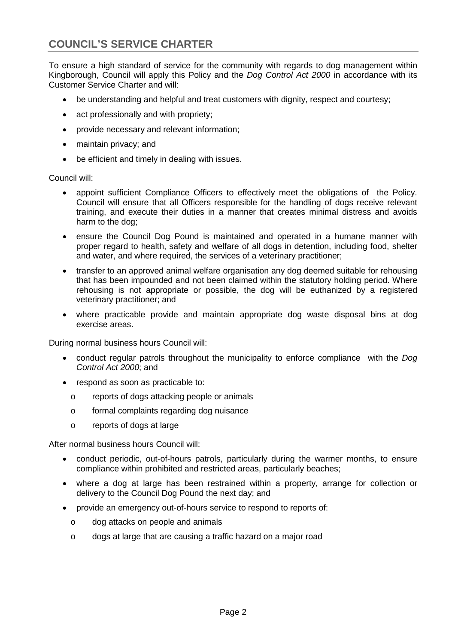# <span id="page-4-0"></span>**COUNCIL'S SERVICE CHARTER**

To ensure a high standard of service for the community with regards to dog management within Kingborough, Council will apply this Policy and the *Dog Control Act 2000* in accordance with its Customer Service Charter and will:

- be understanding and helpful and treat customers with dignity, respect and courtesy;
- act professionally and with propriety;
- provide necessary and relevant information;
- maintain privacy; and
- be efficient and timely in dealing with issues.

Council will:

- appoint sufficient Compliance Officers to effectively meet the obligations of the Policy. Council will ensure that all Officers responsible for the handling of dogs receive relevant training, and execute their duties in a manner that creates minimal distress and avoids harm to the dog;
- ensure the Council Dog Pound is maintained and operated in a humane manner with proper regard to health, safety and welfare of all dogs in detention, including food, shelter and water, and where required, the services of a veterinary practitioner;
- transfer to an approved animal welfare organisation any dog deemed suitable for rehousing that has been impounded and not been claimed within the statutory holding period. Where rehousing is not appropriate or possible, the dog will be euthanized by a registered veterinary practitioner; and
- where practicable provide and maintain appropriate dog waste disposal bins at dog exercise areas.

During normal business hours Council will:

- conduct regular patrols throughout the municipality to enforce compliance with the *Dog Control Act 2000*; and
- respond as soon as practicable to:
	- o reports of dogs attacking people or animals
	- o formal complaints regarding dog nuisance
	- o reports of dogs at large

After normal business hours Council will:

- conduct periodic, out-of-hours patrols, particularly during the warmer months, to ensure compliance within prohibited and restricted areas, particularly beaches;
- where a dog at large has been restrained within a property, arrange for collection or delivery to the Council Dog Pound the next day; and
- provide an emergency out-of-hours service to respond to reports of:
	- o dog attacks on people and animals
	- o dogs at large that are causing a traffic hazard on a major road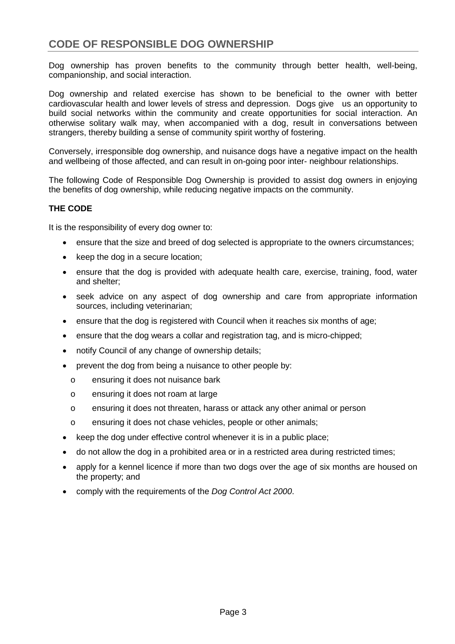# <span id="page-5-0"></span>**CODE OF RESPONSIBLE DOG OWNERSHIP**

Dog ownership has proven benefits to the community through better health, well-being, companionship, and social interaction.

Dog ownership and related exercise has shown to be beneficial to the owner with better cardiovascular health and lower levels of stress and depression. Dogs give us an opportunity to build social networks within the community and create opportunities for social interaction. An otherwise solitary walk may, when accompanied with a dog, result in conversations between strangers, thereby building a sense of community spirit worthy of fostering.

Conversely, irresponsible dog ownership, and nuisance dogs have a negative impact on the health and wellbeing of those affected, and can result in on-going poor inter- neighbour relationships.

The following Code of Responsible Dog Ownership is provided to assist dog owners in enjoying the benefits of dog ownership, while reducing negative impacts on the community.

#### <span id="page-5-1"></span>**THE CODE**

It is the responsibility of every dog owner to:

- ensure that the size and breed of dog selected is appropriate to the owners circumstances;
- keep the dog in a secure location;
- ensure that the dog is provided with adequate health care, exercise, training, food, water and shelter;
- seek advice on any aspect of dog ownership and care from appropriate information sources, including veterinarian;
- ensure that the dog is registered with Council when it reaches six months of age;
- ensure that the dog wears a collar and registration tag, and is micro-chipped;
- notify Council of any change of ownership details;
- prevent the dog from being a nuisance to other people by:
	- o ensuring it does not nuisance bark
	- o ensuring it does not roam at large
	- o ensuring it does not threaten, harass or attack any other animal or person
	- o ensuring it does not chase vehicles, people or other animals;
- keep the dog under effective control whenever it is in a public place;
- do not allow the dog in a prohibited area or in a restricted area during restricted times;
- apply for a kennel licence if more than two dogs over the age of six months are housed on the property; and
- comply with the requirements of the *Dog Control Act 2000*.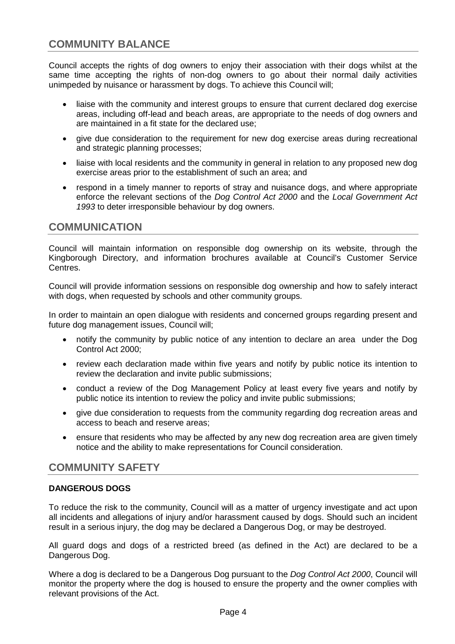# <span id="page-6-0"></span>**COMMUNITY BALANCE**

Council accepts the rights of dog owners to enjoy their association with their dogs whilst at the same time accepting the rights of non-dog owners to go about their normal daily activities unimpeded by nuisance or harassment by dogs. To achieve this Council will;

- liaise with the community and interest groups to ensure that current declared dog exercise areas, including off-lead and beach areas, are appropriate to the needs of dog owners and are maintained in a fit state for the declared use;
- give due consideration to the requirement for new dog exercise areas during recreational and strategic planning processes;
- liaise with local residents and the community in general in relation to any proposed new dog exercise areas prior to the establishment of such an area; and
- respond in a timely manner to reports of stray and nuisance dogs, and where appropriate enforce the relevant sections of the *Dog Control Act 2000* and the *Local Government Act 1993* to deter irresponsible behaviour by dog owners.

## <span id="page-6-1"></span>**COMMUNICATION**

Council will maintain information on responsible dog ownership on its website, through the Kingborough Directory, and information brochures available at Council's Customer Service Centres.

Council will provide information sessions on responsible dog ownership and how to safely interact with dogs, when requested by schools and other community groups.

In order to maintain an open dialogue with residents and concerned groups regarding present and future dog management issues, Council will;

- notify the community by public notice of any intention to declare an area under the Dog Control Act 2000;
- review each declaration made within five years and notify by public notice its intention to review the declaration and invite public submissions;
- conduct a review of the Dog Management Policy at least every five years and notify by public notice its intention to review the policy and invite public submissions;
- give due consideration to requests from the community regarding dog recreation areas and access to beach and reserve areas;
- ensure that residents who may be affected by any new dog recreation area are given timely notice and the ability to make representations for Council consideration.

## <span id="page-6-2"></span>**COMMUNITY SAFETY**

#### <span id="page-6-3"></span>**DANGEROUS DOGS**

To reduce the risk to the community, Council will as a matter of urgency investigate and act upon all incidents and allegations of injury and/or harassment caused by dogs. Should such an incident result in a serious injury, the dog may be declared a Dangerous Dog, or may be destroyed.

All guard dogs and dogs of a restricted breed (as defined in the Act) are declared to be a Dangerous Dog.

Where a dog is declared to be a Dangerous Dog pursuant to the *Dog Control Act 2000*, Council will monitor the property where the dog is housed to ensure the property and the owner complies with relevant provisions of the Act.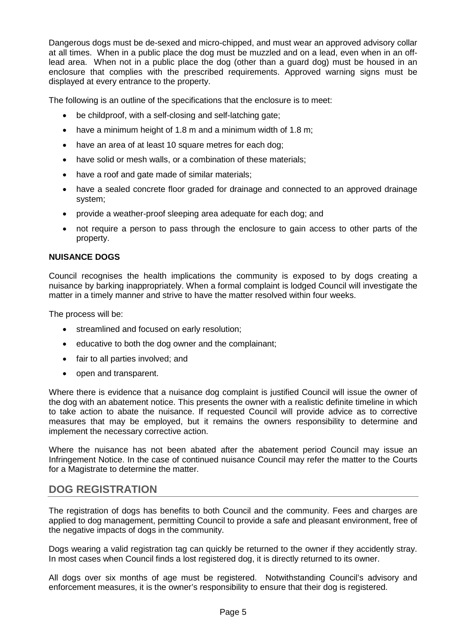Dangerous dogs must be de-sexed and micro-chipped, and must wear an approved advisory collar at all times. When in a public place the dog must be muzzled and on a lead, even when in an offlead area. When not in a public place the dog (other than a guard dog) must be housed in an enclosure that complies with the prescribed requirements. Approved warning signs must be displayed at every entrance to the property.

The following is an outline of the specifications that the enclosure is to meet:

- be childproof, with a self-closing and self-latching gate;
- have a minimum height of 1.8 m and a minimum width of 1.8 m;
- have an area of at least 10 square metres for each dog;
- have solid or mesh walls, or a combination of these materials;
- have a roof and gate made of similar materials;
- have a sealed concrete floor graded for drainage and connected to an approved drainage system;
- provide a weather-proof sleeping area adequate for each dog; and
- not require a person to pass through the enclosure to gain access to other parts of the property.

#### <span id="page-7-0"></span>**NUISANCE DOGS**

Council recognises the health implications the community is exposed to by dogs creating a nuisance by barking inappropriately. When a formal complaint is lodged Council will investigate the matter in a timely manner and strive to have the matter resolved within four weeks.

The process will be:

- streamlined and focused on early resolution;
- educative to both the dog owner and the complainant;
- fair to all parties involved; and
- open and transparent.

Where there is evidence that a nuisance dog complaint is justified Council will issue the owner of the dog with an abatement notice. This presents the owner with a realistic definite timeline in which to take action to abate the nuisance. If requested Council will provide advice as to corrective measures that may be employed, but it remains the owners responsibility to determine and implement the necessary corrective action.

Where the nuisance has not been abated after the abatement period Council may issue an Infringement Notice. In the case of continued nuisance Council may refer the matter to the Courts for a Magistrate to determine the matter.

# <span id="page-7-1"></span>**DOG REGISTRATION**

The registration of dogs has benefits to both Council and the community. Fees and charges are applied to dog management, permitting Council to provide a safe and pleasant environment, free of the negative impacts of dogs in the community.

Dogs wearing a valid registration tag can quickly be returned to the owner if they accidently stray. In most cases when Council finds a lost registered dog, it is directly returned to its owner.

All dogs over six months of age must be registered. Notwithstanding Council's advisory and enforcement measures, it is the owner's responsibility to ensure that their dog is registered.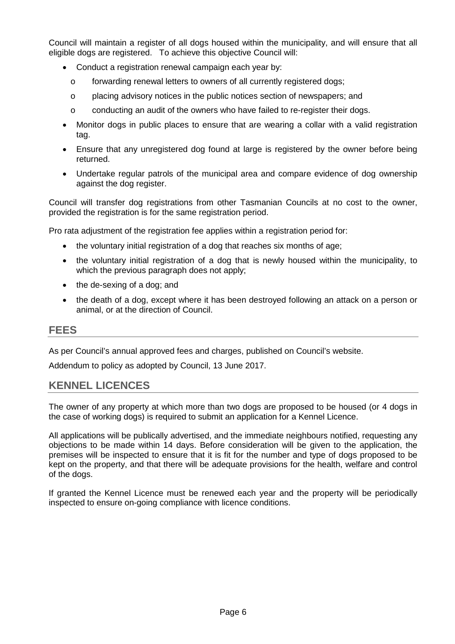Council will maintain a register of all dogs housed within the municipality, and will ensure that all eligible dogs are registered. To achieve this objective Council will:

- Conduct a registration renewal campaign each year by:
	- o forwarding renewal letters to owners of all currently registered dogs;
	- o placing advisory notices in the public notices section of newspapers; and
	- o conducting an audit of the owners who have failed to re-register their dogs.
- Monitor dogs in public places to ensure that are wearing a collar with a valid registration tag.
- Ensure that any unregistered dog found at large is registered by the owner before being returned.
- Undertake regular patrols of the municipal area and compare evidence of dog ownership against the dog register.

Council will transfer dog registrations from other Tasmanian Councils at no cost to the owner, provided the registration is for the same registration period.

Pro rata adjustment of the registration fee applies within a registration period for:

- the voluntary initial registration of a dog that reaches six months of age;
- the voluntary initial registration of a dog that is newly housed within the municipality, to which the previous paragraph does not apply;
- the de-sexing of a dog; and
- the death of a dog, except where it has been destroyed following an attack on a person or animal, or at the direction of Council.

# <span id="page-8-0"></span>**FEES**

As per Council's annual approved fees and charges, published on Council's website.

Addendum to policy as adopted by Council, 13 June 2017.

## <span id="page-8-1"></span>**KENNEL LICENCES**

The owner of any property at which more than two dogs are proposed to be housed (or 4 dogs in the case of working dogs) is required to submit an application for a Kennel Licence.

All applications will be publically advertised, and the immediate neighbours notified, requesting any objections to be made within 14 days. Before consideration will be given to the application, the premises will be inspected to ensure that it is fit for the number and type of dogs proposed to be kept on the property, and that there will be adequate provisions for the health, welfare and control of the dogs.

If granted the Kennel Licence must be renewed each year and the property will be periodically inspected to ensure on-going compliance with licence conditions.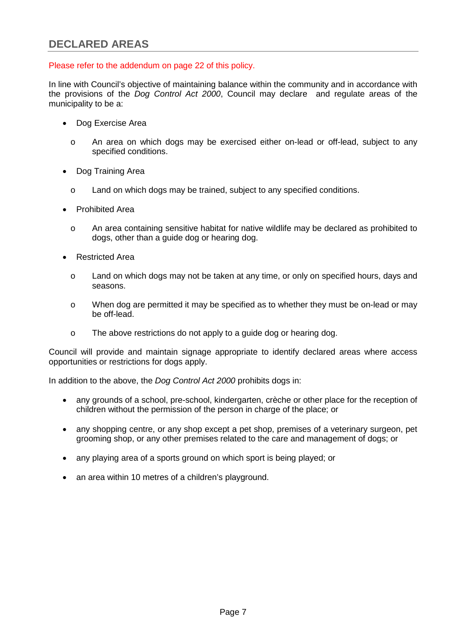#### <span id="page-9-0"></span>Please refer to the addendum on page 22 of this policy.

In line with Council's objective of maintaining balance within the community and in accordance with the provisions of the *Dog Control Act 2000*, Council may declare and regulate areas of the municipality to be a:

- Dog Exercise Area
	- o An area on which dogs may be exercised either on-lead or off-lead, subject to any specified conditions.
- Dog Training Area
	- o Land on which dogs may be trained, subject to any specified conditions.
- Prohibited Area
	- o An area containing sensitive habitat for native wildlife may be declared as prohibited to dogs, other than a guide dog or hearing dog.
- Restricted Area
	- o Land on which dogs may not be taken at any time, or only on specified hours, days and seasons.
	- o When dog are permitted it may be specified as to whether they must be on-lead or may be off-lead.
	- o The above restrictions do not apply to a guide dog or hearing dog.

Council will provide and maintain signage appropriate to identify declared areas where access opportunities or restrictions for dogs apply.

In addition to the above, the *Dog Control Act 2000* prohibits dogs in:

- any grounds of a school, pre-school, kindergarten, crèche or other place for the reception of children without the permission of the person in charge of the place; or
- any shopping centre, or any shop except a pet shop, premises of a veterinary surgeon, pet grooming shop, or any other premises related to the care and management of dogs; or
- any playing area of a sports ground on which sport is being played; or
- an area within 10 metres of a children's playground.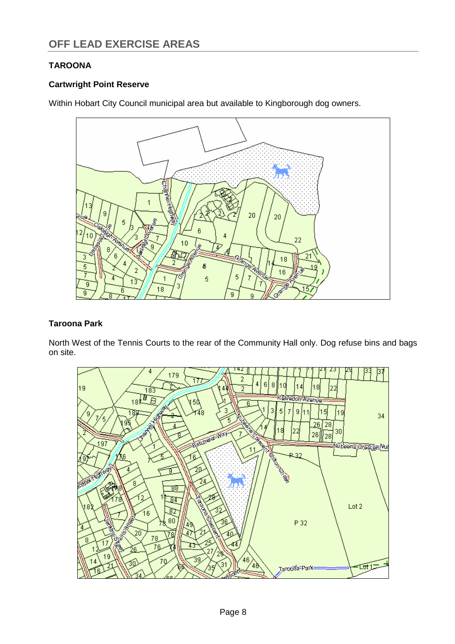# <span id="page-10-0"></span>**TAROONA**

## **Cartwright Point Reserve**

Within Hobart City Council municipal area but available to Kingborough dog owners.



## **Taroona Park**

North West of the Tennis Courts to the rear of the Community Hall only. Dog refuse bins and bags on site.

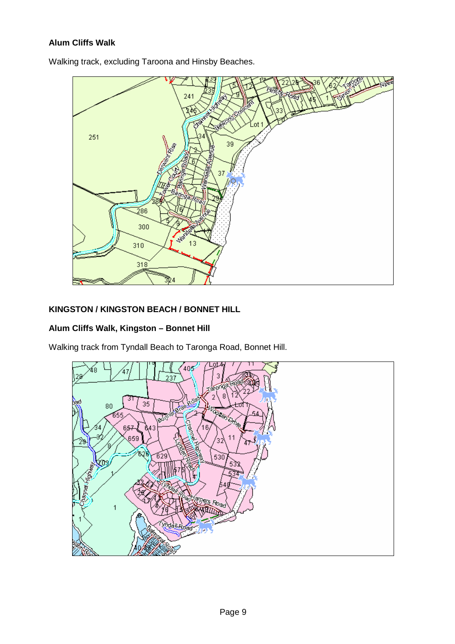## **Alum Cliffs Walk**

Walking track, excluding Taroona and Hinsby Beaches.



## **KINGSTON / KINGSTON BEACH / BONNET HILL**

### **Alum Cliffs Walk, Kingston – Bonnet Hill**

Walking track from Tyndall Beach to Taronga Road, Bonnet Hill.

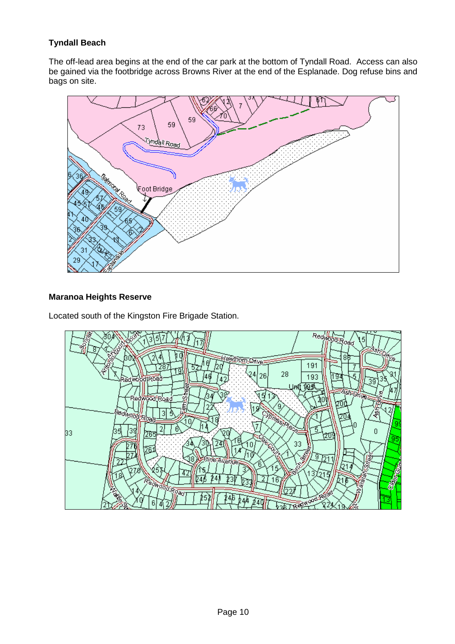# **Tyndall Beach**

The off-lead area begins at the end of the car park at the bottom of Tyndall Road. Access can also be gained via the footbridge across Browns River at the end of the Esplanade. Dog refuse bins and bags on site.



#### **Maranoa Heights Reserve**

Located south of the Kingston Fire Brigade Station.

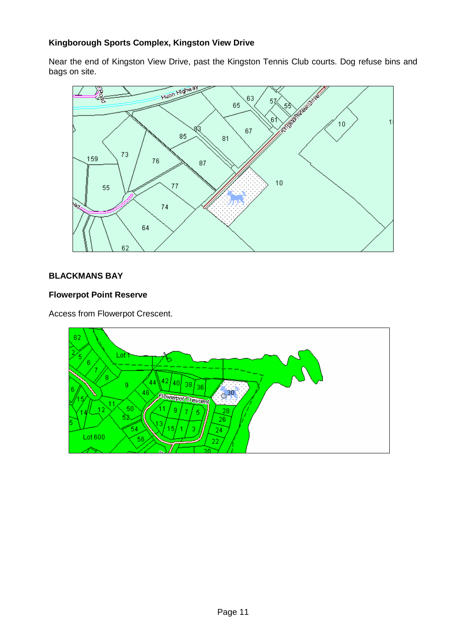## **Kingborough Sports Complex, Kingston View Drive**

Near the end of Kingston View Drive, past the Kingston Tennis Club courts. Dog refuse bins and bags on site.



#### **BLACKMANS BAY**

#### **Flowerpot Point Reserve**

Access from Flowerpot Crescent.

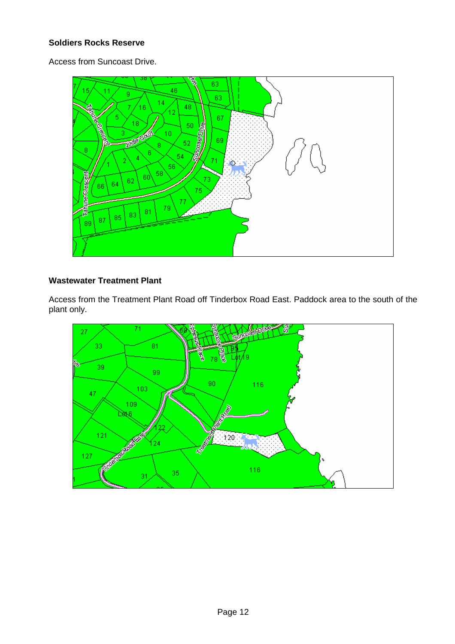#### **Soldiers Rocks Reserve**

Access from Suncoast Drive.



#### **Wastewater Treatment Plant**

Access from the Treatment Plant Road off Tinderbox Road East. Paddock area to the south of the plant only.

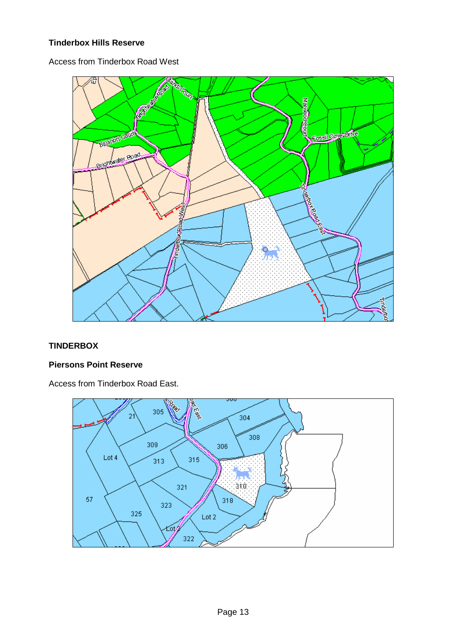## **Tinderbox Hills Reserve**

Access from Tinderbox Road West



## **TINDERBOX**

#### **Piersons Point Reserve**

Access from Tinderbox Road East.

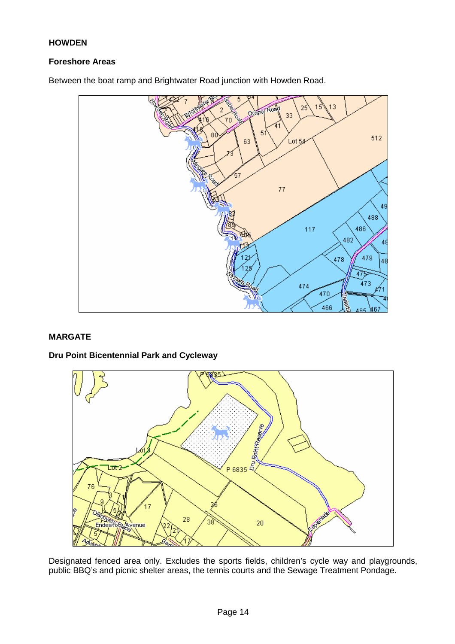#### **HOWDEN**

#### **Foreshore Areas**

é, pdp Lot 54  $\overline{4}$  $475 -$ 

Between the boat ramp and Brightwater Road junction with Howden Road.

#### **MARGATE**

#### **Dru Point Bicentennial Park and Cycleway**



Designated fenced area only. Excludes the sports fields, children's cycle way and playgrounds, public BBQ's and picnic shelter areas, the tennis courts and the Sewage Treatment Pondage.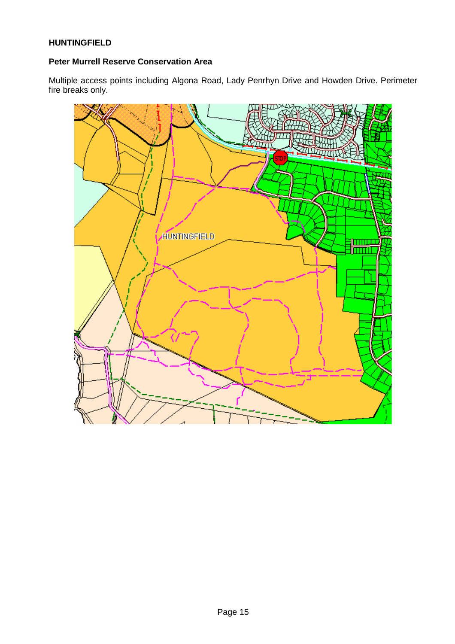#### **HUNTINGFIELD**

#### **Peter Murrell Reserve Conservation Area**

Multiple access points including Algona Road, Lady Penrhyn Drive and Howden Drive. Perimeter fire breaks only.

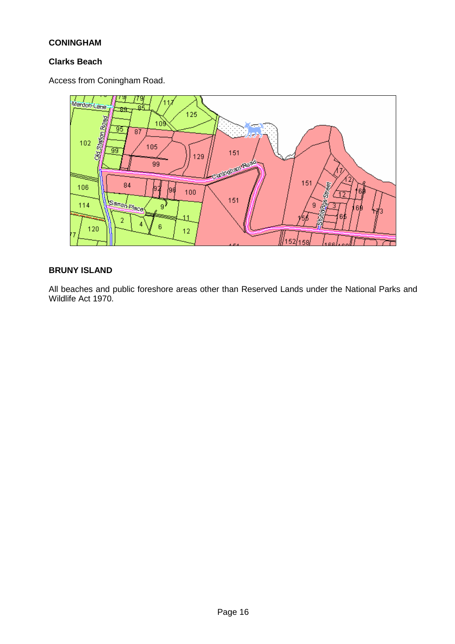#### **CONINGHAM**

#### **Clarks Beach**

Access from Coningham Road.



### **BRUNY ISLAND**

All beaches and public foreshore areas other than Reserved Lands under the National Parks and Wildlife Act 1970.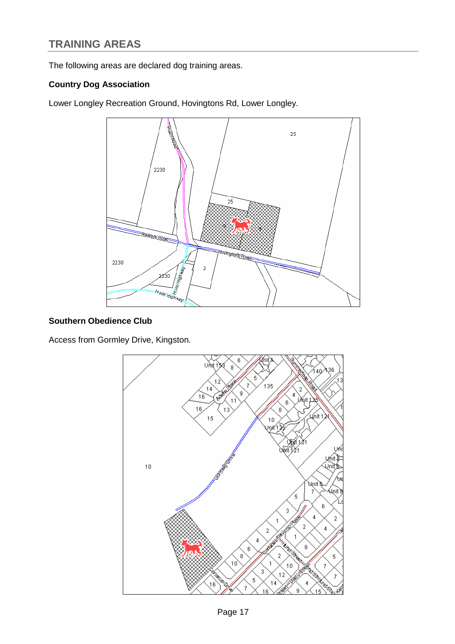# <span id="page-19-0"></span>**TRAINING AREAS**

The following areas are declared dog training areas.

#### **Country Dog Association**

Lower Longley Recreation Ground, Hovingtons Rd, Lower Longley.



#### **Southern Obedience Club**

Access from Gormley Drive, Kingston.

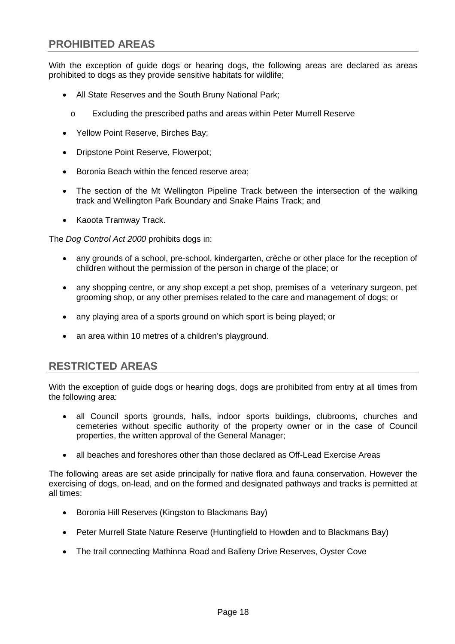<span id="page-20-0"></span>With the exception of guide dogs or hearing dogs, the following areas are declared as areas prohibited to dogs as they provide sensitive habitats for wildlife;

- All State Reserves and the South Bruny National Park;
	- o Excluding the prescribed paths and areas within Peter Murrell Reserve
- Yellow Point Reserve, Birches Bay;
- Dripstone Point Reserve, Flowerpot;
- Boronia Beach within the fenced reserve area;
- The section of the Mt Wellington Pipeline Track between the intersection of the walking track and Wellington Park Boundary and Snake Plains Track; and
- Kaoota Tramway Track.

The *Dog Control Act 2000* prohibits dogs in:

- any grounds of a school, pre-school, kindergarten, crèche or other place for the reception of children without the permission of the person in charge of the place; or
- any shopping centre, or any shop except a pet shop, premises of a veterinary surgeon, pet grooming shop, or any other premises related to the care and management of dogs; or
- any playing area of a sports ground on which sport is being played; or
- an area within 10 metres of a children's playground.

# <span id="page-20-1"></span>**RESTRICTED AREAS**

With the exception of guide dogs or hearing dogs, dogs are prohibited from entry at all times from the following area:

- all Council sports grounds, halls, indoor sports buildings, clubrooms, churches and cemeteries without specific authority of the property owner or in the case of Council properties, the written approval of the General Manager;
- all beaches and foreshores other than those declared as Off-Lead Exercise Areas

The following areas are set aside principally for native flora and fauna conservation. However the exercising of dogs, on-lead, and on the formed and designated pathways and tracks is permitted at all times:

- Boronia Hill Reserves (Kingston to Blackmans Bay)
- Peter Murrell State Nature Reserve (Huntingfield to Howden and to Blackmans Bay)
- The trail connecting Mathinna Road and Balleny Drive Reserves, Oyster Cove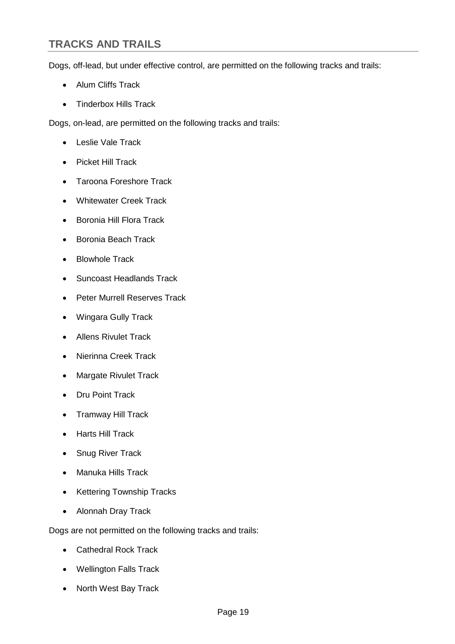# <span id="page-21-0"></span>**TRACKS AND TRAILS**

Dogs, off-lead, but under effective control, are permitted on the following tracks and trails:

- Alum Cliffs Track
- Tinderbox Hills Track

Dogs, on-lead, are permitted on the following tracks and trails:

- Leslie Vale Track
- Picket Hill Track
- Taroona Foreshore Track
- Whitewater Creek Track
- Boronia Hill Flora Track
- Boronia Beach Track
- Blowhole Track
- Suncoast Headlands Track
- Peter Murrell Reserves Track
- Wingara Gully Track
- Allens Rivulet Track
- Nierinna Creek Track
- Margate Rivulet Track
- Dru Point Track
- Tramway Hill Track
- Harts Hill Track
- **Snug River Track**
- Manuka Hills Track
- Kettering Township Tracks
- Alonnah Dray Track

Dogs are not permitted on the following tracks and trails:

- Cathedral Rock Track
- Wellington Falls Track
- North West Bay Track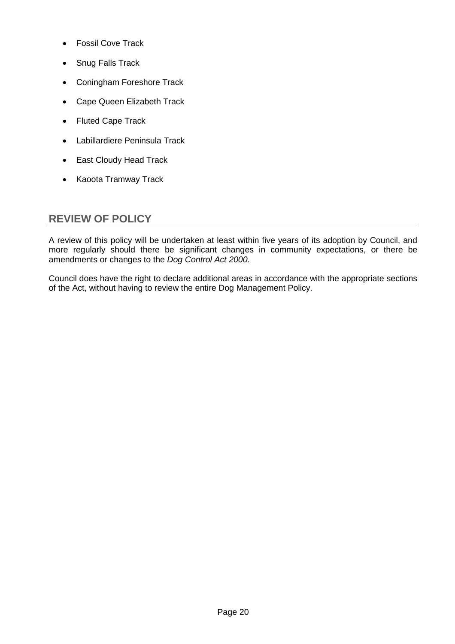- Fossil Cove Track
- Snug Falls Track
- Coningham Foreshore Track
- Cape Queen Elizabeth Track
- Fluted Cape Track
- Labillardiere Peninsula Track
- East Cloudy Head Track
- Kaoota Tramway Track

# <span id="page-22-0"></span>**REVIEW OF POLICY**

A review of this policy will be undertaken at least within five years of its adoption by Council, and more regularly should there be significant changes in community expectations, or there be amendments or changes to the *Dog Control Act 2000*.

Council does have the right to declare additional areas in accordance with the appropriate sections of the Act, without having to review the entire Dog Management Policy.